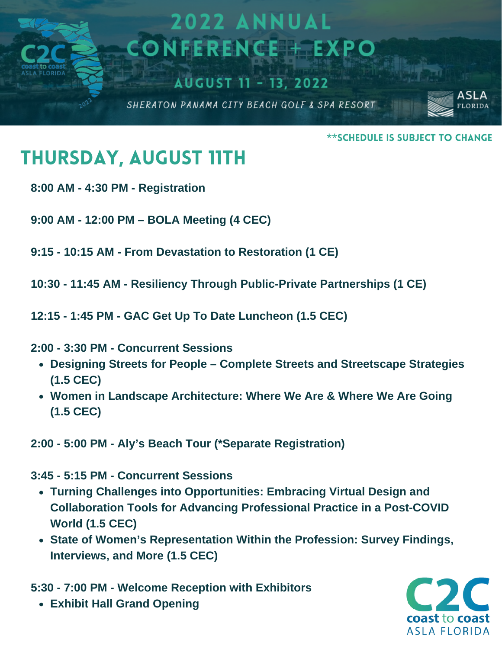

\*\*Schedule is Subject to Change

## Thursday, August 11th

- **8:00 AM - 4:30 PM - Registration**
- **9:00 AM - 12:00 PM – BOLA Meeting (4 CEC)**
- **9:15 - 10:15 AM - From Devastation to Restoration (1 CE)**
- **10:30 - 11:45 AM - Resiliency Through Public-Private Partnerships (1 CE)**
- **12:15 - 1:45 PM - GAC Get Up To Date Luncheon (1.5 CEC)**
- **2:00 - 3:30 PM - Concurrent Sessions**
	- **Designing Streets for People – Complete Streets and Streetscape Strategies (1.5 CEC)**
	- **Women in Landscape Architecture: Where We Are & Where We Are Going (1.5 CEC)**
- **2:00 - 5:00 PM - Aly's Beach Tour (\*Separate Registration)**

**3:45 - 5:15 PM - Concurrent Sessions**

- **Turning Challenges into Opportunities: Embracing Virtual Design and Collaboration Tools for Advancing Professional Practice in a Post-COVID World (1.5 CEC)**
- **State of Women's Representation Within the Profession: Survey Findings, Interviews, and More (1.5 CEC)**

**5:30 - 7:00 PM - Welcome Reception with Exhibitors**

**Exhibit Hall Grand Opening**

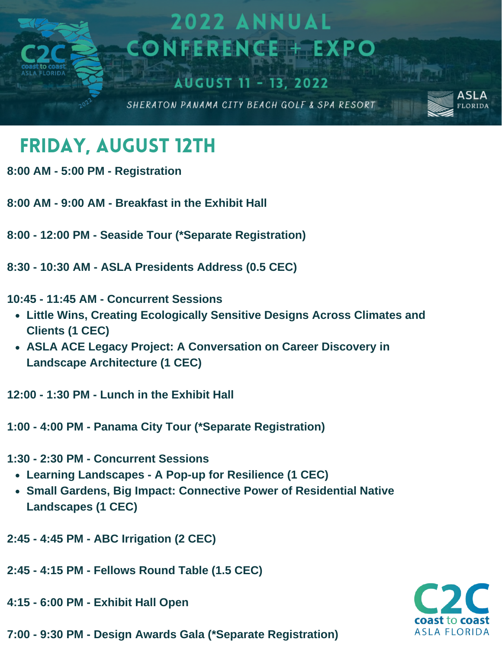

## Friday, August 12th

- **8:00 AM - 5:00 PM - Registration**
- **8:00 AM - 9:00 AM - Breakfast in the Exhibit Hall**
- **8:00 - 12:00 PM - Seaside Tour (\*Separate Registration)**
- **8:30 - 10:30 AM - ASLA Presidents Address (0.5 CEC)**
- **10:45 - 11:45 AM - Concurrent Sessions**
	- **Little Wins, Creating Ecologically Sensitive Designs Across Climates and Clients (1 CEC)**
	- **ASLA ACE Legacy Project: A Conversation on Career Discovery in Landscape Architecture (1 CEC)**
- **12:00 - 1:30 PM - Lunch in the Exhibit Hall**
- **1:00 - 4:00 PM - Panama City Tour (\*Separate Registration)**
- **1:30 - 2:30 PM - Concurrent Sessions**
	- **Learning Landscapes - A Pop-up for Resilience (1 CEC)**
	- **Small Gardens, Big Impact: Connective Power of Residential Native Landscapes (1 CEC)**
- **2:45 - 4:45 PM - ABC Irrigation (2 CEC)**
- **2:45 - 4:15 PM - Fellows Round Table (1.5 CEC)**
- **4:15 - 6:00 PM - Exhibit Hall Open**
- **7:00 - 9:30 PM - Design Awards Gala (\*Separate Registration)**